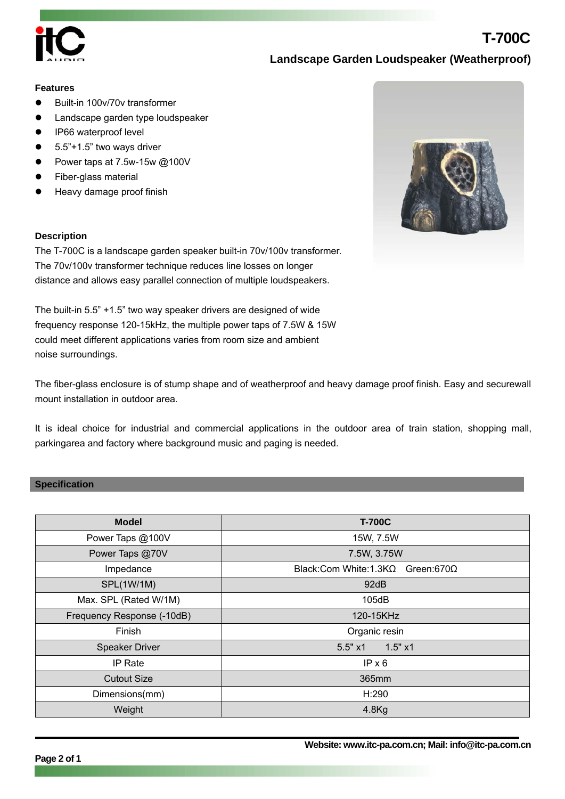

# **Landscape Garden Loudspeaker (Weatherproof)**

**T-700C**

#### **Features**

- Built-in 100v/70v transformer
- Landscape garden type loudspeaker
- IP66 waterproof level
- 5.5"+1.5" two ways driver
- Power taps at 7.5w-15w @100V
- Fiber-glass material
- Heavy damage proof finish

### **Description**

The T-700C is a landscape garden speaker built-in 70v/100v transformer. The 70v/100v transformer technique reduces line losses on longer distance and allows easy parallel connection of multiple loudspeakers.

The built-in 5.5" +1.5" two way speaker drivers are designed of wide frequency response 120-15kHz, the multiple power taps of 7.5W & 15W could meet different applications varies from room size and ambient noise surroundings.

The fiber-glass enclosure is of stump shape and of weatherproof and heavy damage proof finish. Easy and securewall mount installation in outdoor area.

It is ideal choice for industrial and commercial applications in the outdoor area of train station, shopping mall, parkingarea and factory where background music and paging is needed.

### **Specification**

| <b>Model</b>               | <b>T-700C</b>                       |
|----------------------------|-------------------------------------|
| Power Taps @100V           | 15W, 7.5W                           |
| Power Taps @70V            | 7.5W, 3.75W                         |
| Impedance                  | Black: Com White: 1.3KΩ Green: 670Ω |
| SPL(1W/1M)                 | 92dB                                |
| Max. SPL (Rated W/1M)      | 105dB                               |
| Frequency Response (-10dB) | 120-15KHz                           |
| Finish                     | Organic resin                       |
| Speaker Driver             | 1.5" x1<br>5.5" x1                  |
| IP Rate                    | IPx6                                |
| <b>Cutout Size</b>         | 365mm                               |
| Dimensions(mm)             | H:290                               |
| Weight                     | $4.8$ Kg                            |